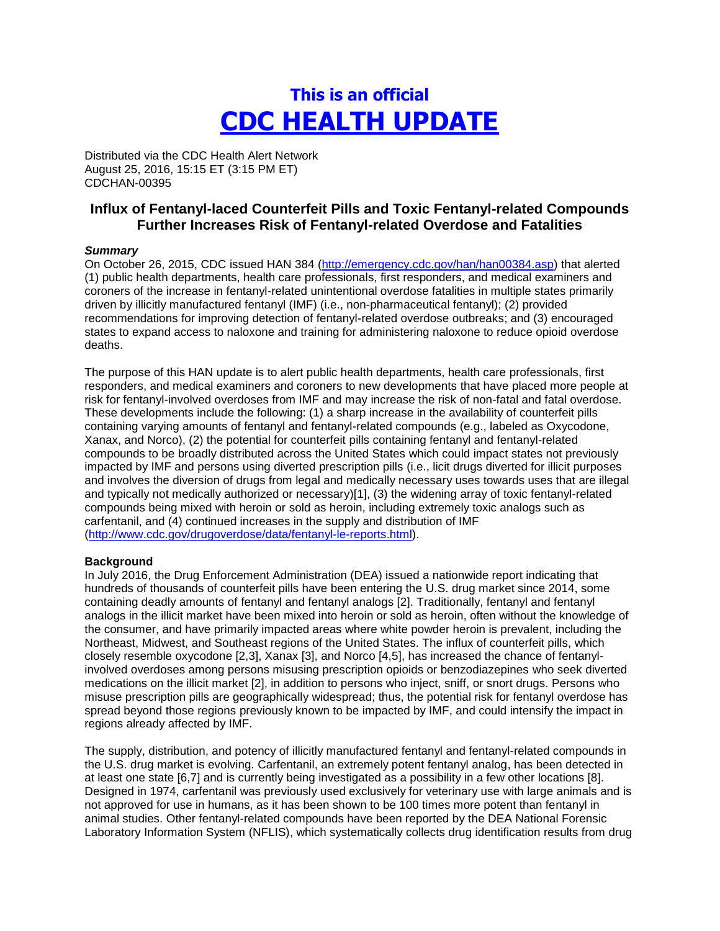# **This is an official CDC HEALTH UPDATE**

Distributed via the CDC Health Alert Network August 25, 2016, 15:15 ET (3:15 PM ET) CDCHAN-00395

## **Influx of Fentanyl-laced Counterfeit Pills and Toxic Fentanyl-related Compounds Further Increases Risk of Fentanyl-related Overdose and Fatalities**

#### *Summary*

On October 26, 2015, CDC issued HAN 384 [\(http://emergency.cdc.gov/han/han00384.asp\)](http://emergency.cdc.gov/han/han00384.asp) that alerted (1) public health departments, health care professionals, first responders, and medical examiners and coroners of the increase in fentanyl-related unintentional overdose fatalities in multiple states primarily driven by illicitly manufactured fentanyl (IMF) (i.e., non-pharmaceutical fentanyl); (2) provided recommendations for improving detection of fentanyl-related overdose outbreaks; and (3) encouraged states to expand access to naloxone and training for administering naloxone to reduce opioid overdose deaths.

The purpose of this HAN update is to alert public health departments, health care professionals, first responders, and medical examiners and coroners to new developments that have placed more people at risk for fentanyl-involved overdoses from IMF and may increase the risk of non-fatal and fatal overdose. These developments include the following: (1) a sharp increase in the availability of counterfeit pills containing varying amounts of fentanyl and fentanyl-related compounds (e.g., labeled as Oxycodone, Xanax, and Norco), (2) the potential for counterfeit pills containing fentanyl and fentanyl-related compounds to be broadly distributed across the United States which could impact states not previously impacted by IMF and persons using diverted prescription pills (i.e., licit drugs diverted for illicit purposes and involves the diversion of drugs from legal and medically necessary uses towards uses that are illegal and typically not medically authorized or necessary)[1], (3) the widening array of toxic fentanyl-related compounds being mixed with heroin or sold as heroin, including extremely toxic analogs such as carfentanil, and (4) continued increases in the supply and distribution of IMF [\(http://www.cdc.gov/drugoverdose/data/fentanyl-le-reports.html\)](http://www.cdc.gov/drugoverdose/data/fentanyl-le-reports.html).

#### **Background**

In July 2016, the Drug Enforcement Administration (DEA) issued a nationwide report indicating that hundreds of thousands of counterfeit pills have been entering the U.S. drug market since 2014, some containing deadly amounts of fentanyl and fentanyl analogs [2]. Traditionally, fentanyl and fentanyl analogs in the illicit market have been mixed into heroin or sold as heroin, often without the knowledge of the consumer, and have primarily impacted areas where white powder heroin is prevalent, including the Northeast, Midwest, and Southeast regions of the United States. The influx of counterfeit pills, which closely resemble oxycodone [2,3], Xanax [3], and Norco [4,5], has increased the chance of fentanylinvolved overdoses among persons misusing prescription opioids or benzodiazepines who seek diverted medications on the illicit market [2], in addition to persons who inject, sniff, or snort drugs. Persons who misuse prescription pills are geographically widespread; thus, the potential risk for fentanyl overdose has spread beyond those regions previously known to be impacted by IMF, and could intensify the impact in regions already affected by IMF.

The supply, distribution, and potency of illicitly manufactured fentanyl and fentanyl-related compounds in the U.S. drug market is evolving. Carfentanil, an extremely potent fentanyl analog, has been detected in at least one state [6,7] and is currently being investigated as a possibility in a few other locations [8]. Designed in 1974, carfentanil was previously used exclusively for veterinary use with large animals and is not approved for use in humans, as it has been shown to be 100 times more potent than fentanyl in animal studies. Other fentanyl-related compounds have been reported by the DEA National Forensic Laboratory Information System (NFLIS), which systematically collects drug identification results from drug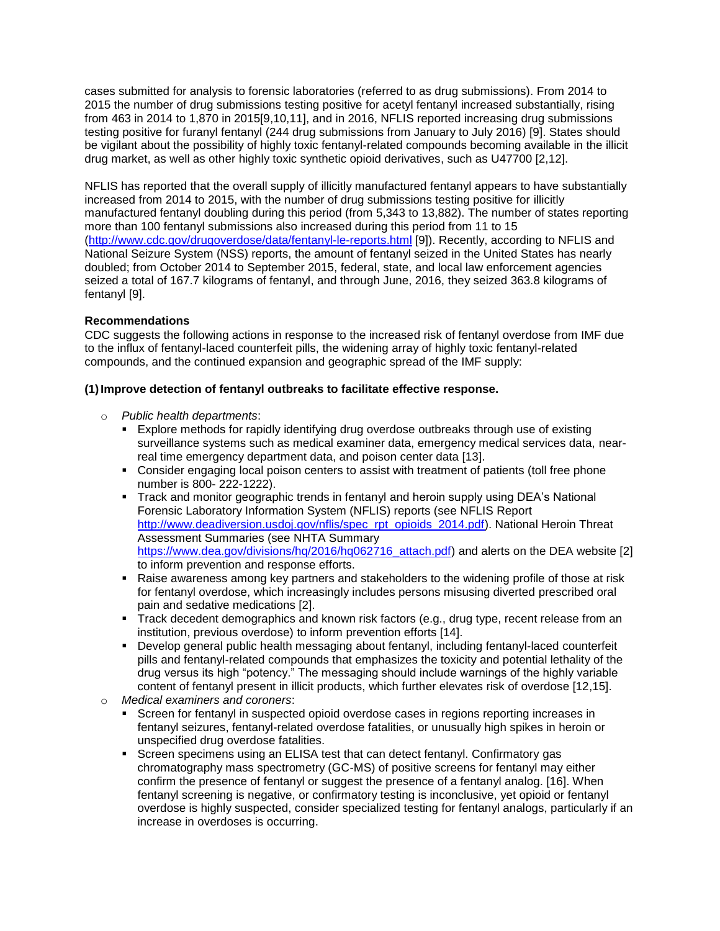cases submitted for analysis to forensic laboratories (referred to as drug submissions). From 2014 to 2015 the number of drug submissions testing positive for acetyl fentanyl increased substantially, rising from 463 in 2014 to 1,870 in 2015[9,10,11], and in 2016, NFLIS reported increasing drug submissions testing positive for furanyl fentanyl (244 drug submissions from January to July 2016) [9]. States should be vigilant about the possibility of highly toxic fentanyl-related compounds becoming available in the illicit drug market, as well as other highly toxic synthetic opioid derivatives, such as U47700 [2,12].

NFLIS has reported that the overall supply of illicitly manufactured fentanyl appears to have substantially increased from 2014 to 2015, with the number of drug submissions testing positive for illicitly manufactured fentanyl doubling during this period (from 5,343 to 13,882). The number of states reporting more than 100 fentanyl submissions also increased during this period from 11 to 15 [\(http://www.cdc.gov/drugoverdose/data/fentanyl-le-reports.html](http://www.cdc.gov/drugoverdose/data/fentanyl-le-reports.html) [9]). Recently, according to NFLIS and National Seizure System (NSS) reports, the amount of fentanyl seized in the United States has nearly doubled; from October 2014 to September 2015, federal, state, and local law enforcement agencies seized a total of 167.7 kilograms of fentanyl, and through June, 2016, they seized 363.8 kilograms of fentanyl [9].

### **Recommendations**

CDC suggests the following actions in response to the increased risk of fentanyl overdose from IMF due to the influx of fentanyl-laced counterfeit pills, the widening array of highly toxic fentanyl-related compounds, and the continued expansion and geographic spread of the IMF supply:

### **(1)Improve detection of fentanyl outbreaks to facilitate effective response.**

- o *Public health departments*:
	- Explore methods for rapidly identifying drug overdose outbreaks through use of existing surveillance systems such as medical examiner data, emergency medical services data, nearreal time emergency department data, and poison center data [13].
	- Consider engaging local poison centers to assist with treatment of patients (toll free phone number is 800- 222-1222).
	- Track and monitor geographic trends in fentanyl and heroin supply using DEA's National Forensic Laboratory Information System (NFLIS) reports (see NFLIS Report [http://www.deadiversion.usdoj.gov/nflis/spec\\_rpt\\_opioids\\_2014.pdf\)](http://www.deadiversion.usdoj.gov/nflis/spec_rpt_opioids_2014.pdf). National Heroin Threat Assessment Summaries (see NHTA Summary [https://www.dea.gov/divisions/hq/2016/hq062716\\_attach.pdf\)](https://www.dea.gov/divisions/hq/2016/hq062716_attach.pdf) and alerts on the DEA website [2] to inform prevention and response efforts.
	- Raise awareness among key partners and stakeholders to the widening profile of those at risk for fentanyl overdose, which increasingly includes persons misusing diverted prescribed oral pain and sedative medications [2].
	- Track decedent demographics and known risk factors (e.g., drug type, recent release from an institution, previous overdose) to inform prevention efforts [14].
	- Develop general public health messaging about fentanyl, including fentanyl-laced counterfeit pills and fentanyl-related compounds that emphasizes the toxicity and potential lethality of the drug versus its high "potency." The messaging should include warnings of the highly variable content of fentanyl present in illicit products, which further elevates risk of overdose [12,15].
- o *Medical examiners and coroners*:
	- Screen for fentanyl in suspected opioid overdose cases in regions reporting increases in fentanyl seizures, fentanyl-related overdose fatalities, or unusually high spikes in heroin or unspecified drug overdose fatalities.
	- **SCREEN SCREEN SECT SCREEN SCREEN SCREEN SCREEN SCREEN SCREEN SCREEN SECT** SCREEN SCREEN SCREEN SCREEN ASSEMENTY ASS chromatography mass spectrometry (GC-MS) of positive screens for fentanyl may either confirm the presence of fentanyl or suggest the presence of a fentanyl analog. [16]. When fentanyl screening is negative, or confirmatory testing is inconclusive, yet opioid or fentanyl overdose is highly suspected, consider specialized testing for fentanyl analogs, particularly if an increase in overdoses is occurring.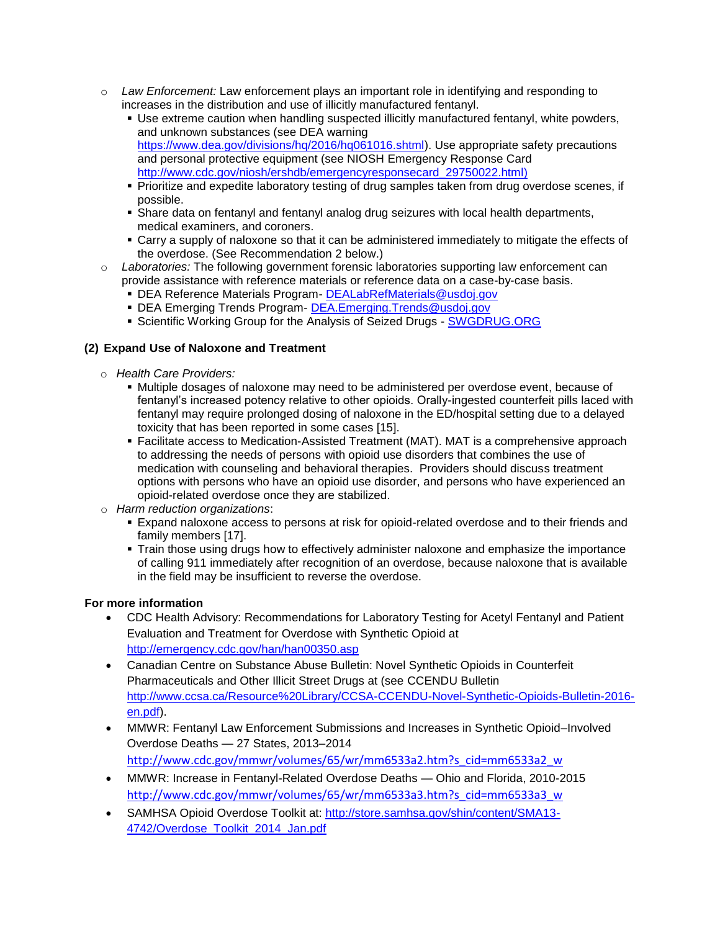- o *Law Enforcement:* Law enforcement plays an important role in identifying and responding to increases in the distribution and use of illicitly manufactured fentanyl.
	- Use extreme caution when handling suspected illicitly manufactured fentanyl, white powders, and unknown substances (see DEA warning [https://www.dea.gov/divisions/hq/2016/hq061016.shtml\)](https://www.dea.gov/divisions/hq/2016/hq061016.shtml). Use appropriate safety precautions and personal protective equipment (see NIOSH Emergency Response Card [http://www.cdc.gov/niosh/ershdb/emergencyresponsecard\\_29750022.html\)](http://www.cdc.gov/niosh/ershdb/emergencyresponsecard_29750022.html)
	- Prioritize and expedite laboratory testing of drug samples taken from drug overdose scenes, if possible.
	- Share data on fentanyl and fentanyl analog drug seizures with local health departments, medical examiners, and coroners.
	- Carry a supply of naloxone so that it can be administered immediately to mitigate the effects of the overdose. (See Recommendation 2 below.)
- o *Laboratories:* The following government forensic laboratories supporting law enforcement can provide assistance with reference materials or reference data on a case-by-case basis.
	- DEA Reference Materials Program- [DEALabRefMaterials@usdoj.gov](mailto:DEALabRefMaterials@usdoj.gov)
	- DEA Emerging Trends Program- [DEA.Emerging.Trends@usdoj.gov](mailto:DEA.Emerging.Trends@usdoj.gov)
	- **Scientific Working Group for the Analysis of Seized Drugs [SWGDRUG.ORG](http://swgdrug.org/)**

### **(2) Expand Use of Naloxone and Treatment**

- o *Health Care Providers:*
	- Multiple dosages of naloxone may need to be administered per overdose event, because of fentanyl's increased potency relative to other opioids. Orally-ingested counterfeit pills laced with fentanyl may require prolonged dosing of naloxone in the ED/hospital setting due to a delayed toxicity that has been reported in some cases [15].
	- Facilitate access to Medication-Assisted Treatment (MAT). MAT is a comprehensive approach to addressing the needs of persons with opioid use disorders that combines the use of medication with counseling and behavioral therapies. Providers should discuss treatment options with persons who have an opioid use disorder, and persons who have experienced an opioid-related overdose once they are stabilized.
- o *Harm reduction organizations*:
	- Expand naloxone access to persons at risk for opioid-related overdose and to their friends and family members [17].
	- Train those using drugs how to effectively administer naloxone and emphasize the importance of calling 911 immediately after recognition of an overdose, because naloxone that is available in the field may be insufficient to reverse the overdose.

### **For more information**

- CDC Health Advisory: Recommendations for Laboratory Testing for Acetyl Fentanyl and Patient Evaluation and Treatment for Overdose with Synthetic Opioid at <http://emergency.cdc.gov/han/han00350.asp>
- Canadian Centre on Substance Abuse Bulletin: Novel Synthetic Opioids in Counterfeit Pharmaceuticals and Other Illicit Street Drugs at (see CCENDU Bulletin [http://www.ccsa.ca/Resource%20Library/CCSA-CCENDU-Novel-Synthetic-Opioids-Bulletin-2016](http://www.ccsa.ca/Resource%20Library/CCSA-CCENDU-Novel-Synthetic-Opioids-Bulletin-2016-en.pdf) [en.pdf\)](http://www.ccsa.ca/Resource%20Library/CCSA-CCENDU-Novel-Synthetic-Opioids-Bulletin-2016-en.pdf).
- MMWR: Fentanyl Law Enforcement Submissions and Increases in Synthetic Opioid–Involved Overdose Deaths — 27 States, 2013–2014 [http://www.cdc.gov/mmwr/volumes/65/wr/mm6533a2.htm?s\\_cid=mm6533a2\\_w](http://www.cdc.gov/mmwr/volumes/65/wr/mm6533a2.htm?s_cid=mm6533a2_w)
- MMWR: Increase in Fentanyl-Related Overdose Deaths Ohio and Florida, 2010-2015 [http://www.cdc.gov/mmwr/volumes/65/wr/mm6533a3.htm?s\\_cid=mm6533a3\\_w](http://www.cdc.gov/mmwr/volumes/65/wr/mm6533a3.htm?s_cid=mm6533a3_w)
- SAMHSA Opioid Overdose Toolkit at: [http://store.samhsa.gov/shin/content/SMA13-](http://store.samhsa.gov/shin/content/SMA13-4742/Overdose_Toolkit_2014_Jan.pdf) [4742/Overdose\\_Toolkit\\_2014\\_Jan.pdf](http://store.samhsa.gov/shin/content/SMA13-4742/Overdose_Toolkit_2014_Jan.pdf)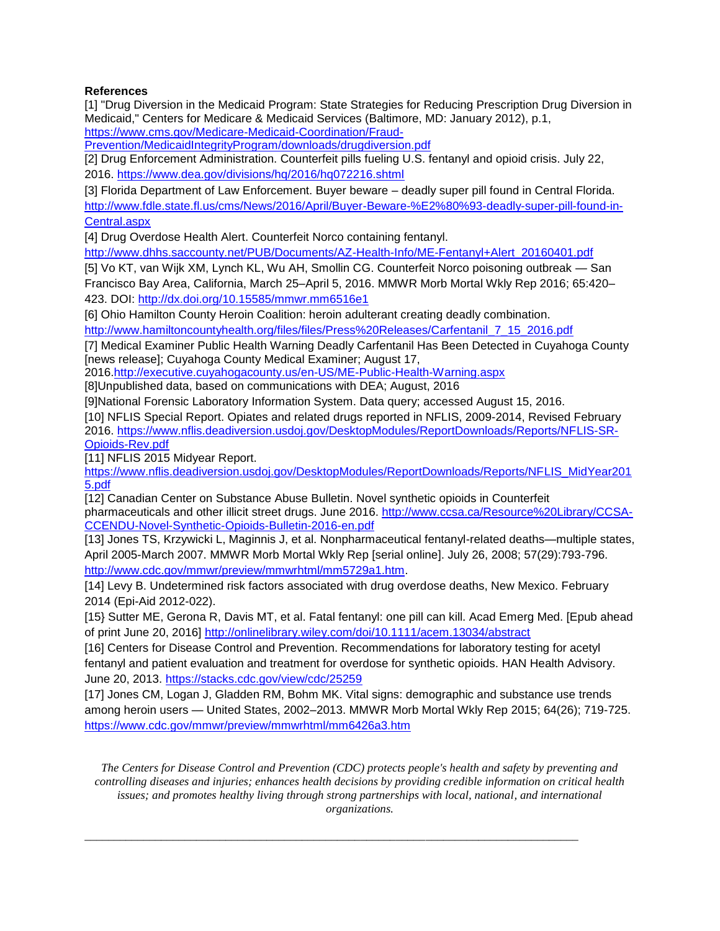### **References**

[1] "Drug Diversion in the Medicaid Program: State Strategies for Reducing Prescription Drug Diversion in Medicaid," Centers for Medicare & Medicaid Services (Baltimore, MD: January 2012), p.1,

[https://www.cms.gov/Medicare-Medicaid-Coordination/Fraud-](https://www.cms.gov/Medicare-Medicaid-Coordination/Fraud-Prevention/MedicaidIntegrityProgram/downloads/drugdiversion.pdf)

[Prevention/MedicaidIntegrityProgram/downloads/drugdiversion.pdf](https://www.cms.gov/Medicare-Medicaid-Coordination/Fraud-Prevention/MedicaidIntegrityProgram/downloads/drugdiversion.pdf)

[2] Drug Enforcement Administration. Counterfeit pills fueling U.S. fentanyl and opioid crisis. July 22, 2016.<https://www.dea.gov/divisions/hq/2016/hq072216.shtml>

[3] Florida Department of Law Enforcement. Buyer beware – deadly super pill found in Central Florida. [http://www.fdle.state.fl.us/cms/News/2016/April/Buyer-Beware-%E2%80%93-deadly-super-pill-found-in-](http://www.fdle.state.fl.us/cms/News/2016/April/Buyer-Beware-%E2%80%93-deadly-super-pill-found-in-Central.aspx)

[Central.aspx](http://www.fdle.state.fl.us/cms/News/2016/April/Buyer-Beware-%E2%80%93-deadly-super-pill-found-in-Central.aspx)

[4] Drug Overdose Health Alert. Counterfeit Norco containing fentanyl.

[http://www.dhhs.saccounty.net/PUB/Documents/AZ-Health-Info/ME-Fentanyl+Alert\\_20160401.pdf](http://www.dhhs.saccounty.net/PUB/Documents/AZ-Health-Info/ME-Fentanyl+Alert_20160401.pdf)

[5] Vo KT, van Wijk XM, Lynch KL, Wu AH, Smollin CG. Counterfeit Norco poisoning outbreak — San Francisco Bay Area, California, March 25–April 5, 2016. MMWR Morb Mortal Wkly Rep 2016; 65:420– 423. DOI:<http://dx.doi.org/10.15585/mmwr.mm6516e1>

[6] Ohio Hamilton County Heroin Coalition: heroin adulterant creating deadly combination.

[http://www.hamiltoncountyhealth.org/files/files/Press%20Releases/Carfentanil\\_7\\_15\\_2016.pdf](http://www.hamiltoncountyhealth.org/files/files/Press%20Releases/Carfentanil_7_15_2016.pdf)

[7] Medical Examiner Public Health Warning Deadly Carfentanil Has Been Detected in Cuyahoga County [news release]; Cuyahoga County Medical Examiner; August 17,

2016[.http://executive.cuyahogacounty.us/en-US/ME-Public-Health-Warning.aspx](http://executive.cuyahogacounty.us/en-US/ME-Public-Health-Warning.aspx)

[8]Unpublished data, based on communications with DEA; August, 2016

[9]National Forensic Laboratory Information System. Data query; accessed August 15, 2016.

[10] NFLIS Special Report. Opiates and related drugs reported in NFLIS, 2009-2014, Revised February 2016. [https://www.nflis.deadiversion.usdoj.gov/DesktopModules/ReportDownloads/Reports/NFLIS-SR-](https://www.nflis.deadiversion.usdoj.gov/DesktopModules/ReportDownloads/Reports/NFLIS-SR-Opioids-Rev.pdf)[Opioids-Rev.pdf](https://www.nflis.deadiversion.usdoj.gov/DesktopModules/ReportDownloads/Reports/NFLIS-SR-Opioids-Rev.pdf)

[11] NFLIS 2015 Midyear Report.

[https://www.nflis.deadiversion.usdoj.gov/DesktopModules/ReportDownloads/Reports/NFLIS\\_MidYear201](https://www.nflis.deadiversion.usdoj.gov/DesktopModules/ReportDownloads/Reports/NFLIS_MidYear2015.pdf) [5.pdf](https://www.nflis.deadiversion.usdoj.gov/DesktopModules/ReportDownloads/Reports/NFLIS_MidYear2015.pdf)

[12] Canadian Center on Substance Abuse Bulletin. Novel synthetic opioids in Counterfeit pharmaceuticals and other illicit street drugs. June 2016. [http://www.ccsa.ca/Resource%20Library/CCSA-](http://www.ccsa.ca/Resource%20Library/CCSA-CCENDU-Novel-Synthetic-Opioids-Bulletin-2016-en.pdf)[CCENDU-Novel-Synthetic-Opioids-Bulletin-2016-en.pdf](http://www.ccsa.ca/Resource%20Library/CCSA-CCENDU-Novel-Synthetic-Opioids-Bulletin-2016-en.pdf)

[13] Jones TS, Krzywicki L, Maginnis J, et al. Nonpharmaceutical fentanyl-related deaths—multiple states, April 2005-March 2007. MMWR Morb Mortal Wkly Rep [serial online]. July 26, 2008; 57(29):793-796. [http://www.cdc.gov/mmwr/preview/mmwrhtml/mm5729a1.htm.](http://www.cdc.gov/mmwr/preview/mmwrhtml/mm5729a1.htm)

[14] Levy B. Undetermined risk factors associated with drug overdose deaths, New Mexico. February 2014 (Epi-Aid 2012-022).

[15} Sutter ME, Gerona R, Davis MT, et al. Fatal fentanyl: one pill can kill. Acad Emerg Med. [Epub ahead of print June 20, 2016]<http://onlinelibrary.wiley.com/doi/10.1111/acem.13034/abstract>

[16] Centers for Disease Control and Prevention. Recommendations for laboratory testing for acetyl fentanyl and patient evaluation and treatment for overdose for synthetic opioids. HAN Health Advisory. June 20, 2013.<https://stacks.cdc.gov/view/cdc/25259>

[17] Jones CM, Logan J, Gladden RM, Bohm MK. Vital signs: demographic and substance use trends among heroin users — United States, 2002–2013. MMWR Morb Mortal Wkly Rep 2015; 64(26); 719-725. <https://www.cdc.gov/mmwr/preview/mmwrhtml/mm6426a3.htm>

*The Centers for Disease Control and Prevention (CDC) protects people's health and safety by preventing and controlling diseases and injuries; enhances health decisions by providing credible information on critical health issues; and promotes healthy living through strong partnerships with local, national, and international organizations.*

\_\_\_\_\_\_\_\_\_\_\_\_\_\_\_\_\_\_\_\_\_\_\_\_\_\_\_\_\_\_\_\_\_\_\_\_\_\_\_\_\_\_\_\_\_\_\_\_\_\_\_\_\_\_\_\_\_\_\_\_\_\_\_\_\_\_\_\_\_\_\_\_\_\_\_\_\_\_\_\_\_\_\_\_